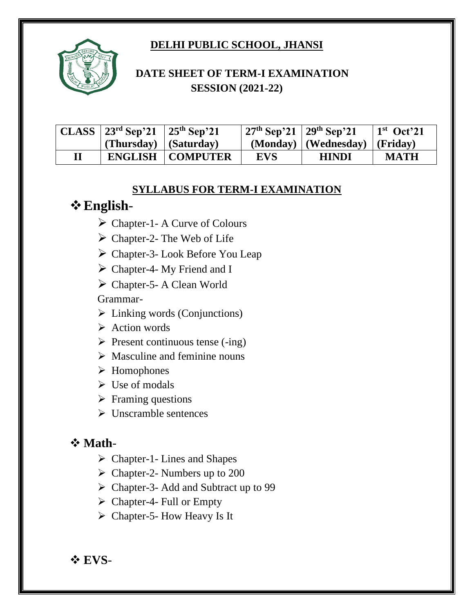#### **DELHI PUBLIC SCHOOL, JHANSI**



#### **DATE SHEET OF TERM-I EXAMINATION SESSION (2021-22)**

| CLASS   $23^{\text{rd}}$ Sep'21   $25^{\text{th}}$ Sep'21 |                           | $\frac{27^{th}}{50^{21}}$ 29 <sup>th</sup> Sep <sup>2</sup> 21 |                                   | $1st$ Oct'21 |
|-----------------------------------------------------------|---------------------------|----------------------------------------------------------------|-----------------------------------|--------------|
| $\vert$ (Thursday) $\vert$ (Saturday)                     |                           |                                                                | (Monday)   (Wednesday)   (Friday) |              |
|                                                           | <b>ENGLISH   COMPUTER</b> | <b>EVS</b>                                                     | HINDI                             | <b>MATH</b>  |

#### **SYLLABUS FOR TERM-I EXAMINATION**

### ❖**English**-

- ➢ Chapter-1- A Curve of Colours
- $\triangleright$  Chapter-2- The Web of Life
- ➢ Chapter-3- Look Before You Leap
- ➢ Chapter-4- My Friend and I
- ➢ Chapter-5- A Clean World

Grammar-

- $\triangleright$  Linking words (Conjunctions)
- ➢ Action words
- $\triangleright$  Present continuous tense (-ing)
- $\triangleright$  Masculine and feminine nouns
- ➢ Homophones
- ➢ Use of modals
- $\triangleright$  Framing questions
- ➢ Unscramble sentences

#### ❖ **Math**-

- ➢ Chapter-1- Lines and Shapes
- $\triangleright$  Chapter-2- Numbers up to 200
- ➢ Chapter-3- Add and Subtract up to 99
- $\triangleright$  Chapter-4- Full or Empty
- ➢ Chapter-5- How Heavy Is It

❖ **EVS**-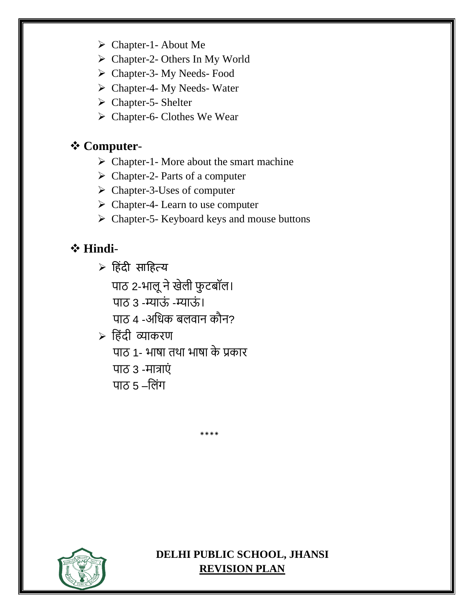- ➢ Chapter-1- About Me
- ➢ Chapter-2- Others In My World
- ➢ Chapter-3- My Needs- Food
- ➢ Chapter-4- My Needs- Water
- ➢ Chapter-5- Shelter
- ➢ Chapter-6- Clothes We Wear

#### ❖ **Computer**-

- $\triangleright$  Chapter-1- More about the smart machine
- ➢ Chapter-2- Parts of a computer
- ➢ Chapter-3-Uses of computer
- $\triangleright$  Chapter-4- Learn to use computer
- ➢ Chapter-5- Keyboard keys and mouse buttons

## ❖ **Hindi**-

- $> 66$ देवी साहित्य
	- पाठ 2-भालू ने खेली फुटबॉल।
	- पाठ 3 -म्याऊं -म्याऊं ।
	- पाठ 4 -अधिक बलवान कौन?

➢ ह िंदी व्याकरण पाठ 1- भाषा तथा भाषा के प्रकार पाठ 3 -मात्राएं पाठ 5 –लिंग

\*\*\*\*



 **DELHI PUBLIC SCHOOL, JHANSI REVISION PLAN**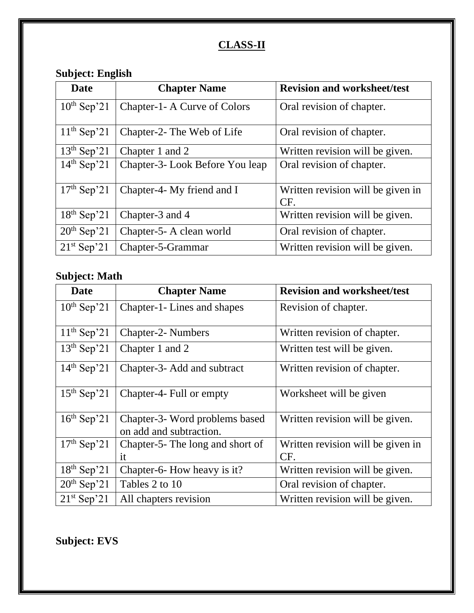### **CLASS-II**

## **Subject: English**

| <b>Date</b>      | <b>Chapter Name</b>             | <b>Revision and worksheet/test</b>       |
|------------------|---------------------------------|------------------------------------------|
| $10^{th}$ Sep'21 | Chapter-1- A Curve of Colors    | Oral revision of chapter.                |
| $11th$ Sep'21    | Chapter-2- The Web of Life      | Oral revision of chapter.                |
| $13th$ Sep'21    | Chapter 1 and 2                 | Written revision will be given.          |
| $14th$ Sep'21    | Chapter-3- Look Before You leap | Oral revision of chapter.                |
| $17th$ Sep'21    | Chapter-4- My friend and I      | Written revision will be given in<br>CF. |
| $18th$ Sep'21    | Chapter-3 and 4                 | Written revision will be given.          |
| $20th$ Sep'21    | Chapter-5- A clean world        | Oral revision of chapter.                |
| $21st$ Sep'21    | Chapter-5-Grammar               | Written revision will be given.          |

### **Subject: Math**

| <b>Date</b>      | <b>Chapter Name</b>                                       | <b>Revision and worksheet/test</b> |
|------------------|-----------------------------------------------------------|------------------------------------|
| $10^{th}$ Sep'21 | Chapter-1- Lines and shapes                               | Revision of chapter.               |
| $11th$ Sep'21    | <b>Chapter-2-</b> Numbers                                 | Written revision of chapter.       |
| $13th$ Sep'21    | Chapter 1 and 2                                           | Written test will be given.        |
| $14th$ Sep'21    | Chapter-3- Add and subtract                               | Written revision of chapter.       |
| $15th$ Sep'21    | Chapter-4- Full or empty                                  | Worksheet will be given            |
| $16th$ Sep'21    | Chapter-3- Word problems based<br>on add and subtraction. | Written revision will be given.    |
| $17th$ Sep'21    | Chapter-5- The long and short of                          | Written revision will be given in  |
|                  | it                                                        | CF.                                |
| $18th$ Sep'21    | Chapter-6-How heavy is it?                                | Written revision will be given.    |
| $20th$ Sep'21    | Tables 2 to 10                                            | Oral revision of chapter.          |
| $21st$ Sep'21    | All chapters revision                                     | Written revision will be given.    |

# **Subject: EVS**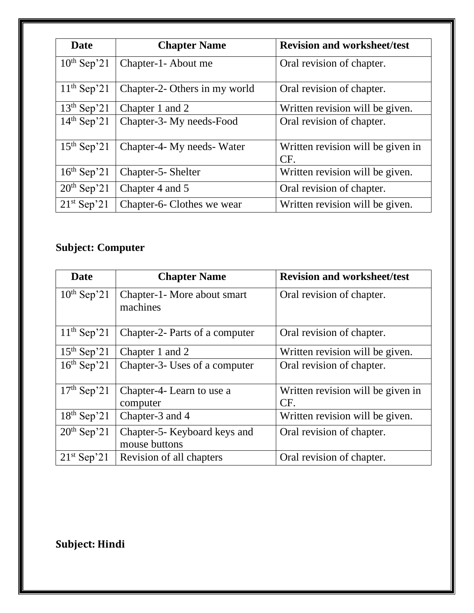| <b>Date</b>      | <b>Chapter Name</b>           | <b>Revision and worksheet/test</b>       |
|------------------|-------------------------------|------------------------------------------|
| $10^{th}$ Sep'21 | Chapter-1- About me           | Oral revision of chapter.                |
| $11th$ Sep'21    | Chapter-2- Others in my world | Oral revision of chapter.                |
| $13th$ Sep'21    | Chapter 1 and 2               | Written revision will be given.          |
| $14th$ Sep'21    | Chapter-3- My needs-Food      | Oral revision of chapter.                |
| $15th$ Sep'21    | Chapter-4- My needs- Water    | Written revision will be given in<br>CF. |
| $16th$ Sep'21    | Chapter-5- Shelter            | Written revision will be given.          |
| $20th$ Sep'21    | Chapter 4 and 5               | Oral revision of chapter.                |
| $21st$ Sep'21    | Chapter-6- Clothes we wear    | Written revision will be given.          |

# **Subject: Computer**

| <b>Date</b>      | <b>Chapter Name</b>                           | <b>Revision and worksheet/test</b>       |
|------------------|-----------------------------------------------|------------------------------------------|
| $10^{th}$ Sep'21 | Chapter-1- More about smart<br>machines       | Oral revision of chapter.                |
| $11th$ Sep'21    | Chapter-2- Parts of a computer                | Oral revision of chapter.                |
| $15th$ Sep'21    | Chapter 1 and 2                               | Written revision will be given.          |
| $16th$ Sep'21    | Chapter-3- Uses of a computer                 | Oral revision of chapter.                |
| $17th$ Sep'21    | Chapter-4- Learn to use a<br>computer         | Written revision will be given in<br>CF. |
| $18th$ Sep'21    | Chapter-3 and 4                               | Written revision will be given.          |
| $20th$ Sep'21    | Chapter-5- Keyboard keys and<br>mouse buttons | Oral revision of chapter.                |
| $21st$ Sep'21    | Revision of all chapters                      | Oral revision of chapter.                |

**Subject: Hindi**